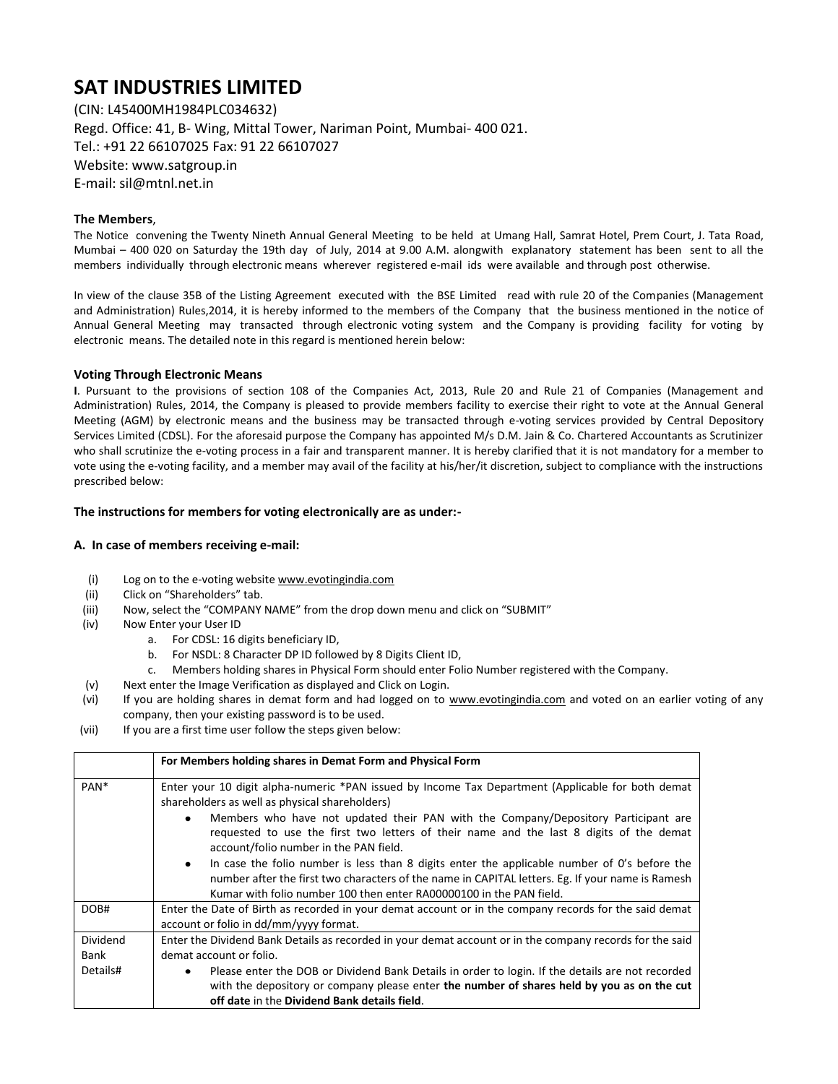# **SAT INDUSTRIES LIMITED**

(CIN: L45400MH1984PLC034632) Regd. Office: 41, B- Wing, Mittal Tower, Nariman Point, Mumbai- 400 021. Tel.: +91 22 66107025 Fax: 91 22 66107027 Website: www.satgroup.in E-mail: sil@mtnl.net.in

# **The Members**,

The Notice convening the Twenty Nineth Annual General Meeting to be held at Umang Hall, Samrat Hotel, Prem Court, J. Tata Road, Mumbai – 400 020 on Saturday the 19th day of July, 2014 at 9.00 A.M. alongwith explanatory statement has been sent to all the members individually through electronic means wherever registered e-mail ids were available and through post otherwise.

In view of the clause 35B of the Listing Agreement executed with the BSE Limited read with rule 20 of the Companies (Management and Administration) Rules,2014, it is hereby informed to the members of the Company that the business mentioned in the notice of Annual General Meeting may transacted through electronic voting system and the Company is providing facility for voting by electronic means. The detailed note in this regard is mentioned herein below:

### **Voting Through Electronic Means**

**I**. Pursuant to the provisions of section 108 of the Companies Act, 2013, Rule 20 and Rule 21 of Companies (Management and Administration) Rules, 2014, the Company is pleased to provide members facility to exercise their right to vote at the Annual General Meeting (AGM) by electronic means and the business may be transacted through e-voting services provided by Central Depository Services Limited (CDSL). For the aforesaid purpose the Company has appointed M/s D.M. Jain & Co. Chartered Accountants as Scrutinizer who shall scrutinize the e-voting process in a fair and transparent manner. It is hereby clarified that it is not mandatory for a member to vote using the e-voting facility, and a member may avail of the facility at his/her/it discretion, subject to compliance with the instructions prescribed below:

### **The instructions for members for voting electronically are as under:-**

# **A. In case of members receiving e-mail:**

- (i) Log on to the e-voting websit[e www.evotingindia.com](http://www.evotingindia.com/)
- (ii) Click on "Shareholders" tab.
- (iii) Now, select the "COMPANY NAME" from the drop down menu and click on "SUBMIT"
- (iv) Now Enter your User ID
	- a. For CDSL: 16 digits beneficiary ID,
	- b. For NSDL: 8 Character DP ID followed by 8 Digits Client ID,
	- c. Members holding shares in Physical Form should enter Folio Number registered with the Company.
- (v) Next enter the Image Verification as displayed and Click on Login.
- (vi) If you are holding shares in demat form and had logged on to [www.evotingindia.com](http://www.evotingindia.com/) and voted on an earlier voting of any company, then your existing password is to be used.
- (vii) If you are a first time user follow the steps given below:

|          | For Members holding shares in Demat Form and Physical Form                                                                                                                                                                                                                           |
|----------|--------------------------------------------------------------------------------------------------------------------------------------------------------------------------------------------------------------------------------------------------------------------------------------|
| PAN*     | Enter your 10 digit alpha-numeric *PAN issued by Income Tax Department (Applicable for both demat<br>shareholders as well as physical shareholders)                                                                                                                                  |
|          | Members who have not updated their PAN with the Company/Depository Participant are<br>$\bullet$<br>requested to use the first two letters of their name and the last 8 digits of the demat<br>account/folio number in the PAN field.                                                 |
|          | In case the folio number is less than 8 digits enter the applicable number of O's before the<br>$\bullet$<br>number after the first two characters of the name in CAPITAL letters. Eg. If your name is Ramesh<br>Kumar with folio number 100 then enter RA00000100 in the PAN field. |
| DOB#     | Enter the Date of Birth as recorded in your demat account or in the company records for the said demat<br>account or folio in dd/mm/yyyy format.                                                                                                                                     |
| Dividend | Enter the Dividend Bank Details as recorded in your demat account or in the company records for the said                                                                                                                                                                             |
| Bank     | demat account or folio.                                                                                                                                                                                                                                                              |
| Details# | Please enter the DOB or Dividend Bank Details in order to login. If the details are not recorded<br>$\bullet$<br>with the depository or company please enter the number of shares held by you as on the cut<br>off date in the Dividend Bank details field.                          |